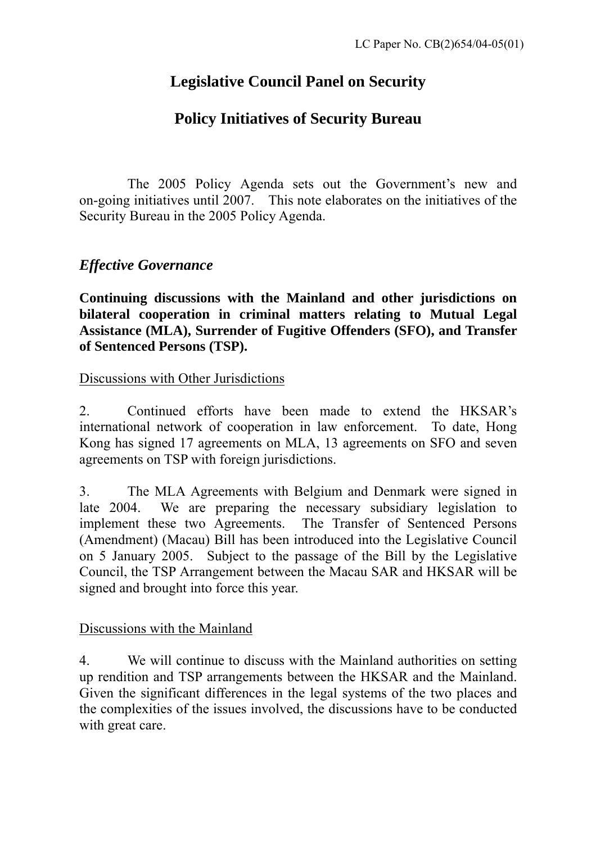# **Legislative Council Panel on Security**

## **Policy Initiatives of Security Bureau**

The 2005 Policy Agenda sets out the Government's new and on-going initiatives until 2007. This note elaborates on the initiatives of the Security Bureau in the 2005 Policy Agenda.

## *Effective Governance*

**Continuing discussions with the Mainland and other jurisdictions on bilateral cooperation in criminal matters relating to Mutual Legal Assistance (MLA), Surrender of Fugitive Offenders (SFO), and Transfer of Sentenced Persons (TSP).** 

#### Discussions with Other Jurisdictions

2. Continued efforts have been made to extend the HKSAR's international network of cooperation in law enforcement. To date, Hong Kong has signed 17 agreements on MLA, 13 agreements on SFO and seven agreements on TSP with foreign jurisdictions.

3. The MLA Agreements with Belgium and Denmark were signed in late 2004. We are preparing the necessary subsidiary legislation to implement these two Agreements. The Transfer of Sentenced Persons (Amendment) (Macau) Bill has been introduced into the Legislative Council on 5 January 2005. Subject to the passage of the Bill by the Legislative Council, the TSP Arrangement between the Macau SAR and HKSAR will be signed and brought into force this year.

### Discussions with the Mainland

4. We will continue to discuss with the Mainland authorities on setting up rendition and TSP arrangements between the HKSAR and the Mainland. Given the significant differences in the legal systems of the two places and the complexities of the issues involved, the discussions have to be conducted with great care.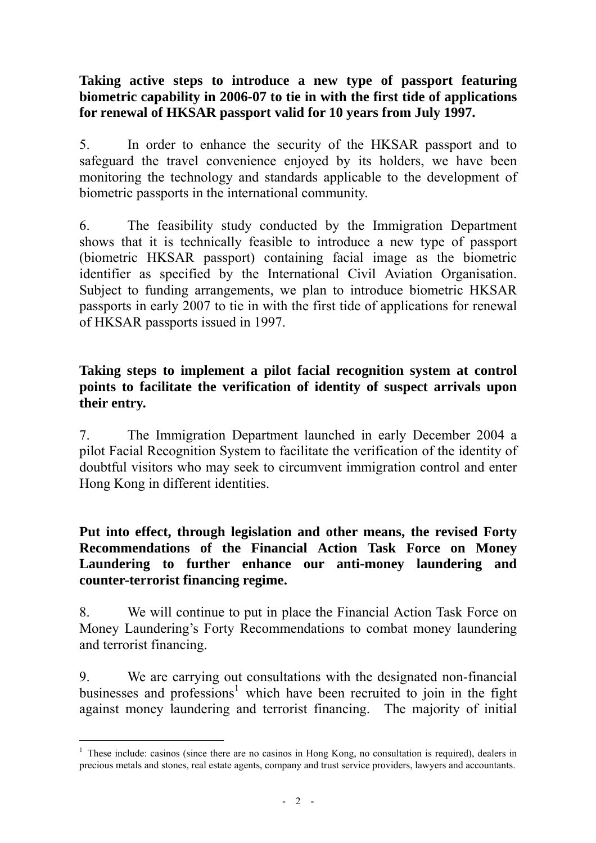#### **Taking active steps to introduce a new type of passport featuring biometric capability in 2006-07 to tie in with the first tide of applications for renewal of HKSAR passport valid for 10 years from July 1997.**

5. In order to enhance the security of the HKSAR passport and to safeguard the travel convenience enjoyed by its holders, we have been monitoring the technology and standards applicable to the development of biometric passports in the international community.

6. The feasibility study conducted by the Immigration Department shows that it is technically feasible to introduce a new type of passport (biometric HKSAR passport) containing facial image as the biometric identifier as specified by the International Civil Aviation Organisation. Subject to funding arrangements, we plan to introduce biometric HKSAR passports in early 2007 to tie in with the first tide of applications for renewal of HKSAR passports issued in 1997.

#### **Taking steps to implement a pilot facial recognition system at control points to facilitate the verification of identity of suspect arrivals upon their entry.**

7. The Immigration Department launched in early December 2004 a pilot Facial Recognition System to facilitate the verification of the identity of doubtful visitors who may seek to circumvent immigration control and enter Hong Kong in different identities.

**Put into effect, through legislation and other means, the revised Forty Recommendations of the Financial Action Task Force on Money Laundering to further enhance our anti-money laundering and counter-terrorist financing regime.** 

8. We will continue to put in place the Financial Action Task Force on Money Laundering's Forty Recommendations to combat money laundering and terrorist financing.

9. We are carrying out consultations with the designated non-financial businesses and professions<sup>1</sup> which have been recruited to join in the fight against money laundering and terrorist financing. The majority of initial

 $\overline{a}$ 

<sup>&</sup>lt;sup>1</sup> These include: casinos (since there are no casinos in Hong Kong, no consultation is required), dealers in precious metals and stones, real estate agents, company and trust service providers, lawyers and accountants.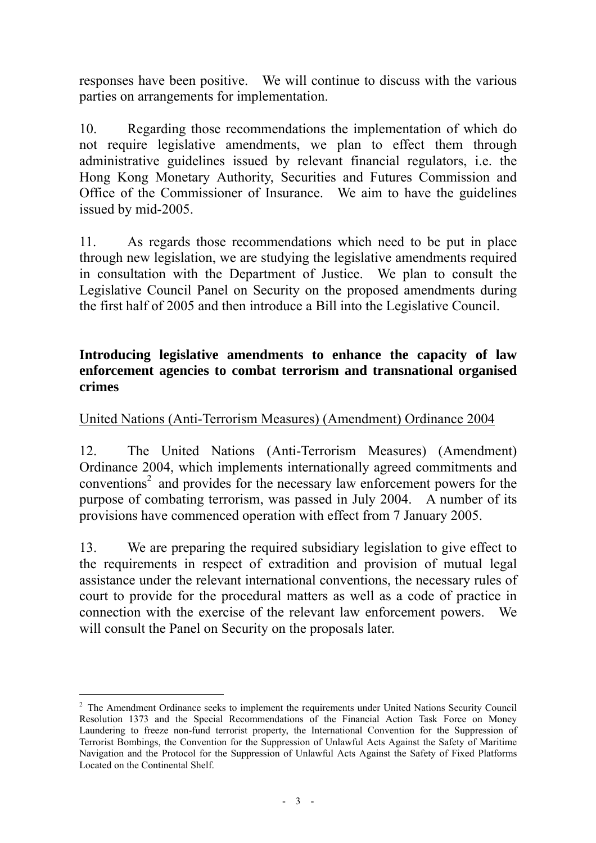responses have been positive. We will continue to discuss with the various parties on arrangements for implementation.

10. Regarding those recommendations the implementation of which do not require legislative amendments, we plan to effect them through administrative guidelines issued by relevant financial regulators, i.e. the Hong Kong Monetary Authority, Securities and Futures Commission and Office of the Commissioner of Insurance. We aim to have the guidelines issued by mid-2005.

11. As regards those recommendations which need to be put in place through new legislation, we are studying the legislative amendments required in consultation with the Department of Justice. We plan to consult the Legislative Council Panel on Security on the proposed amendments during the first half of 2005 and then introduce a Bill into the Legislative Council.

#### **Introducing legislative amendments to enhance the capacity of law enforcement agencies to combat terrorism and transnational organised crimes**

## United Nations (Anti-Terrorism Measures) (Amendment) Ordinance 2004

12. The United Nations (Anti-Terrorism Measures) (Amendment) Ordinance 2004, which implements internationally agreed commitments and conventions<sup>2</sup> and provides for the necessary law enforcement powers for the purpose of combating terrorism, was passed in July 2004. A number of its provisions have commenced operation with effect from 7 January 2005.

13. We are preparing the required subsidiary legislation to give effect to the requirements in respect of extradition and provision of mutual legal assistance under the relevant international conventions, the necessary rules of court to provide for the procedural matters as well as a code of practice in connection with the exercise of the relevant law enforcement powers. We will consult the Panel on Security on the proposals later.

 $\overline{a}$ 

<sup>&</sup>lt;sup>2</sup> The Amendment Ordinance seeks to implement the requirements under United Nations Security Council Resolution 1373 and the Special Recommendations of the Financial Action Task Force on Money Laundering to freeze non-fund terrorist property, the International Convention for the Suppression of Terrorist Bombings, the Convention for the Suppression of Unlawful Acts Against the Safety of Maritime Navigation and the Protocol for the Suppression of Unlawful Acts Against the Safety of Fixed Platforms Located on the Continental Shelf.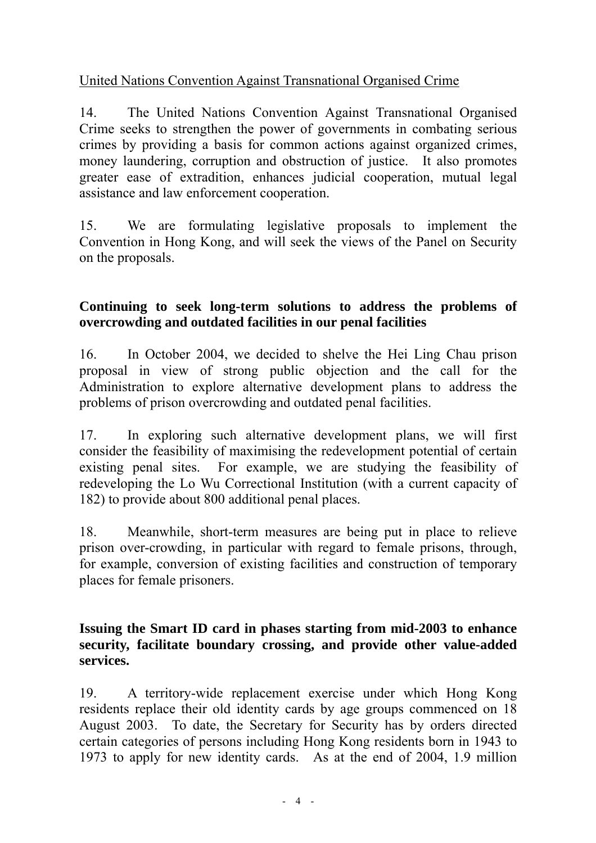## United Nations Convention Against Transnational Organised Crime

14. The United Nations Convention Against Transnational Organised Crime seeks to strengthen the power of governments in combating serious crimes by providing a basis for common actions against organized crimes, money laundering, corruption and obstruction of justice. It also promotes greater ease of extradition, enhances judicial cooperation, mutual legal assistance and law enforcement cooperation.

15. We are formulating legislative proposals to implement the Convention in Hong Kong, and will seek the views of the Panel on Security on the proposals.

### **Continuing to seek long-term solutions to address the problems of overcrowding and outdated facilities in our penal facilities**

16. In October 2004, we decided to shelve the Hei Ling Chau prison proposal in view of strong public objection and the call for the Administration to explore alternative development plans to address the problems of prison overcrowding and outdated penal facilities.

17. In exploring such alternative development plans, we will first consider the feasibility of maximising the redevelopment potential of certain existing penal sites. For example, we are studying the feasibility of redeveloping the Lo Wu Correctional Institution (with a current capacity of 182) to provide about 800 additional penal places.

18. Meanwhile, short-term measures are being put in place to relieve prison over-crowding, in particular with regard to female prisons, through, for example, conversion of existing facilities and construction of temporary places for female prisoners.

#### **Issuing the Smart ID card in phases starting from mid-2003 to enhance security, facilitate boundary crossing, and provide other value-added services.**

19. A territory-wide replacement exercise under which Hong Kong residents replace their old identity cards by age groups commenced on 18 August 2003. To date, the Secretary for Security has by orders directed certain categories of persons including Hong Kong residents born in 1943 to 1973 to apply for new identity cards. As at the end of 2004, 1.9 million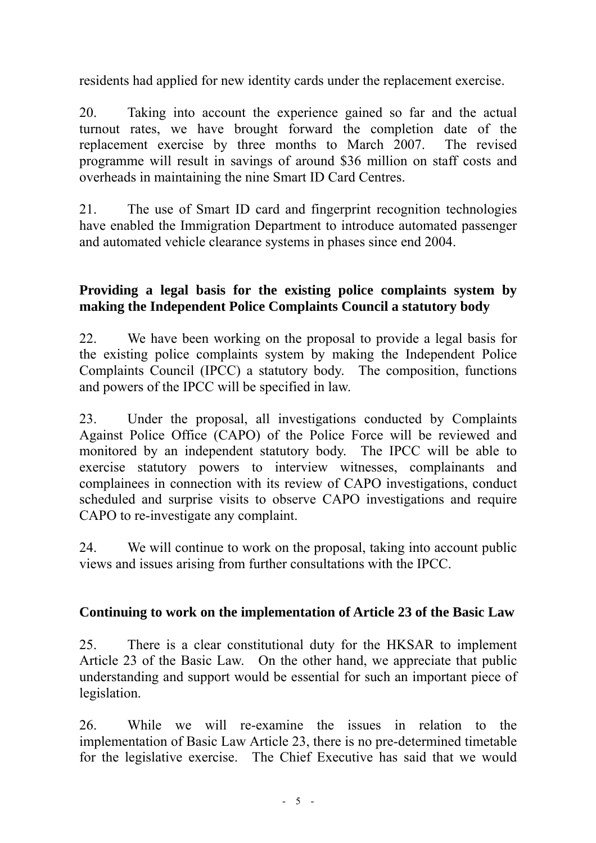residents had applied for new identity cards under the replacement exercise.

20. Taking into account the experience gained so far and the actual turnout rates, we have brought forward the completion date of the replacement exercise by three months to March 2007. The revised programme will result in savings of around \$36 million on staff costs and overheads in maintaining the nine Smart ID Card Centres.

21. The use of Smart ID card and fingerprint recognition technologies have enabled the Immigration Department to introduce automated passenger and automated vehicle clearance systems in phases since end 2004.

### **Providing a legal basis for the existing police complaints system by making the Independent Police Complaints Council a statutory body**

22. We have been working on the proposal to provide a legal basis for the existing police complaints system by making the Independent Police Complaints Council (IPCC) a statutory body. The composition, functions and powers of the IPCC will be specified in law.

23. Under the proposal, all investigations conducted by Complaints Against Police Office (CAPO) of the Police Force will be reviewed and monitored by an independent statutory body. The IPCC will be able to exercise statutory powers to interview witnesses, complainants and complainees in connection with its review of CAPO investigations, conduct scheduled and surprise visits to observe CAPO investigations and require CAPO to re-investigate any complaint.

24. We will continue to work on the proposal, taking into account public views and issues arising from further consultations with the IPCC.

### **Continuing to work on the implementation of Article 23 of the Basic Law**

25. There is a clear constitutional duty for the HKSAR to implement Article 23 of the Basic Law. On the other hand, we appreciate that public understanding and support would be essential for such an important piece of legislation.

26. While we will re-examine the issues in relation to the implementation of Basic Law Article 23, there is no pre-determined timetable for the legislative exercise. The Chief Executive has said that we would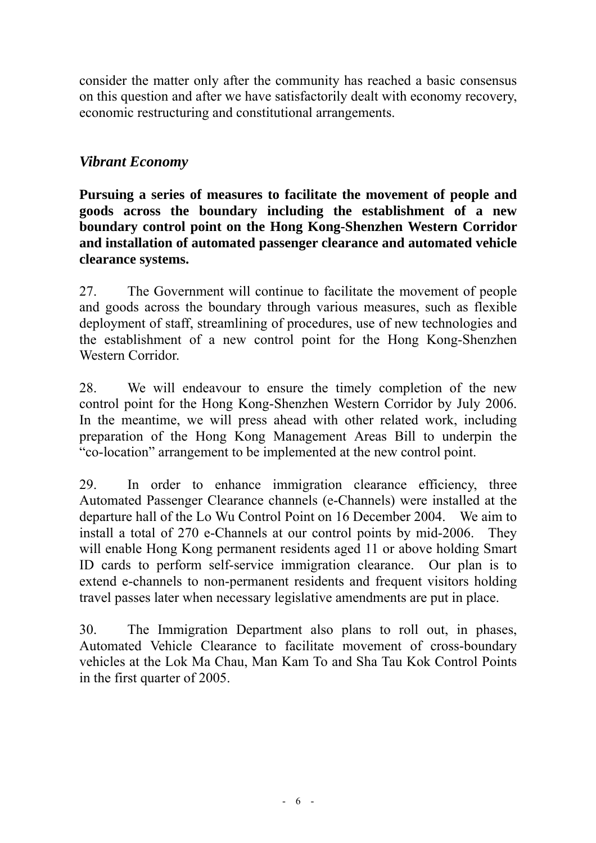consider the matter only after the community has reached a basic consensus on this question and after we have satisfactorily dealt with economy recovery, economic restructuring and constitutional arrangements.

## *Vibrant Economy*

**Pursuing a series of measures to facilitate the movement of people and goods across the boundary including the establishment of a new boundary control point on the Hong Kong-Shenzhen Western Corridor and installation of automated passenger clearance and automated vehicle clearance systems.** 

27. The Government will continue to facilitate the movement of people and goods across the boundary through various measures, such as flexible deployment of staff, streamlining of procedures, use of new technologies and the establishment of a new control point for the Hong Kong-Shenzhen Western Corridor.

28. We will endeavour to ensure the timely completion of the new control point for the Hong Kong-Shenzhen Western Corridor by July 2006. In the meantime, we will press ahead with other related work, including preparation of the Hong Kong Management Areas Bill to underpin the "co-location" arrangement to be implemented at the new control point.

29. In order to enhance immigration clearance efficiency, three Automated Passenger Clearance channels (e-Channels) were installed at the departure hall of the Lo Wu Control Point on 16 December 2004. We aim to install a total of 270 e-Channels at our control points by mid-2006. They will enable Hong Kong permanent residents aged 11 or above holding Smart ID cards to perform self-service immigration clearance. Our plan is to extend e-channels to non-permanent residents and frequent visitors holding travel passes later when necessary legislative amendments are put in place.

30. The Immigration Department also plans to roll out, in phases, Automated Vehicle Clearance to facilitate movement of cross-boundary vehicles at the Lok Ma Chau, Man Kam To and Sha Tau Kok Control Points in the first quarter of 2005.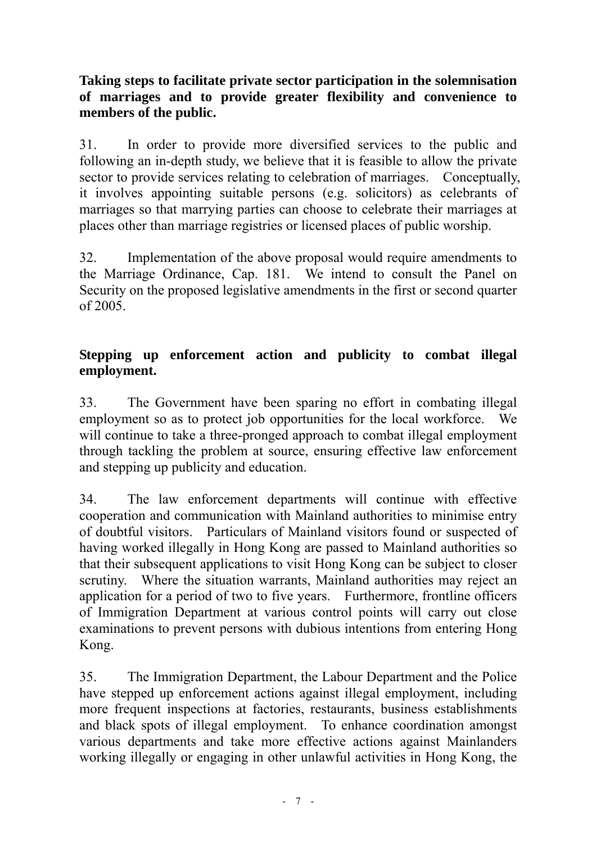## **Taking steps to facilitate private sector participation in the solemnisation of marriages and to provide greater flexibility and convenience to members of the public.**

31. In order to provide more diversified services to the public and following an in-depth study, we believe that it is feasible to allow the private sector to provide services relating to celebration of marriages. Conceptually, it involves appointing suitable persons (e.g. solicitors) as celebrants of marriages so that marrying parties can choose to celebrate their marriages at places other than marriage registries or licensed places of public worship.

32. Implementation of the above proposal would require amendments to the Marriage Ordinance, Cap. 181. We intend to consult the Panel on Security on the proposed legislative amendments in the first or second quarter of 2005.

## **Stepping up enforcement action and publicity to combat illegal employment.**

33. The Government have been sparing no effort in combating illegal employment so as to protect job opportunities for the local workforce. We will continue to take a three-pronged approach to combat illegal employment through tackling the problem at source, ensuring effective law enforcement and stepping up publicity and education.

34. The law enforcement departments will continue with effective cooperation and communication with Mainland authorities to minimise entry of doubtful visitors. Particulars of Mainland visitors found or suspected of having worked illegally in Hong Kong are passed to Mainland authorities so that their subsequent applications to visit Hong Kong can be subject to closer scrutiny. Where the situation warrants, Mainland authorities may reject an application for a period of two to five years. Furthermore, frontline officers of Immigration Department at various control points will carry out close examinations to prevent persons with dubious intentions from entering Hong Kong.

35. The Immigration Department, the Labour Department and the Police have stepped up enforcement actions against illegal employment, including more frequent inspections at factories, restaurants, business establishments and black spots of illegal employment. To enhance coordination amongst various departments and take more effective actions against Mainlanders working illegally or engaging in other unlawful activities in Hong Kong, the